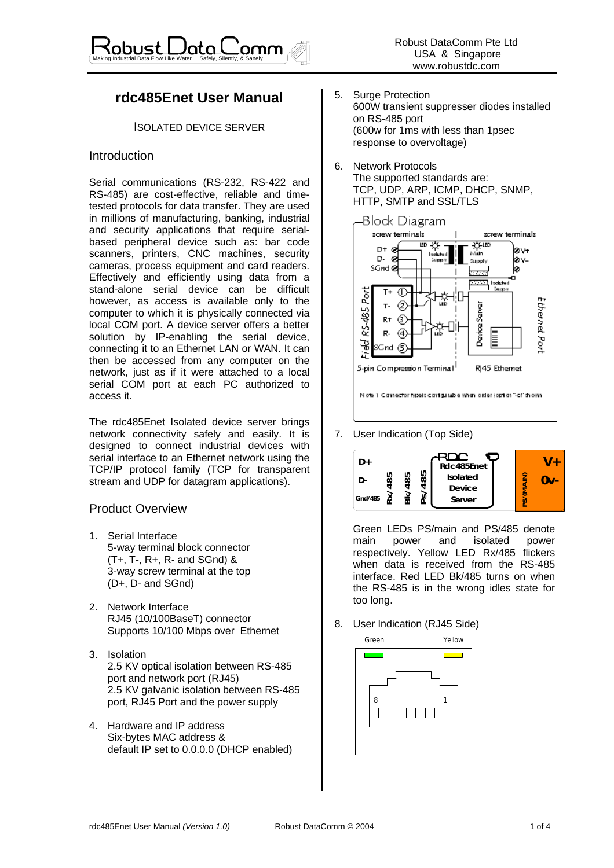# **rdc485Enet User Manual**

ISOLATED DEVICE SERVER

### Introduction

Serial communications (RS-232, RS-422 and RS-485) are cost-effective, reliable and timetested protocols for data transfer. They are used in millions of manufacturing, banking, industrial and security applications that require serialbased peripheral device such as: bar code scanners, printers, CNC machines, security cameras, process equipment and card readers. Effectively and efficiently using data from a stand-alone serial device can be difficult however, as access is available only to the computer to which it is physically connected via local COM port. A device server offers a better solution by IP-enabling the serial device, connecting it to an Ethernet LAN or WAN. It can then be accessed from any computer on the network, just as if it were attached to a local serial COM port at each PC authorized to access it.

The rdc485Enet Isolated device server brings network connectivity safely and easily. It is designed to connect industrial devices with serial interface to an Ethernet network using the TCP/IP protocol family (TCP for transparent stream and UDP for datagram applications).

### Product Overview

- 1. Serial Interface 5-way terminal block connector (T+, T-, R+, R- and SGnd) & 3-way screw terminal at the top (D+, D- and SGnd)
- 2. Network Interface RJ45 (10/100BaseT) connector Supports 10/100 Mbps over Ethernet
- 3. Isolation 2.5 KV optical isolation between RS-485 port and network port (RJ45) 2.5 KV galvanic isolation between RS-485 port, RJ45 Port and the power supply
- 4. Hardware and IP address Six-bytes MAC address & default IP set to 0.0.0.0 (DHCP enabled)
- 5. Surge Protection 600W transient suppresser diodes installed on RS-485 port (600w for 1ms with less than 1psec response to overvoltage)
- 6. Network Protocols The supported standards are: TCP, UDP, ARP, ICMP, DHCP, SNMP, HTTP, SMTP and SSL/TLS



Nights 1. Clarence that function and students with an authority of the court

7. User Indication (Top Side)



Green LEDs PS/main and PS/485 denote main power and isolated power respectively. Yellow LED Rx/485 flickers when data is received from the RS-485 interface. Red LED Bk/485 turns on when the RS-485 is in the wrong idles state for too long.

8. User Indication (RJ45 Side)

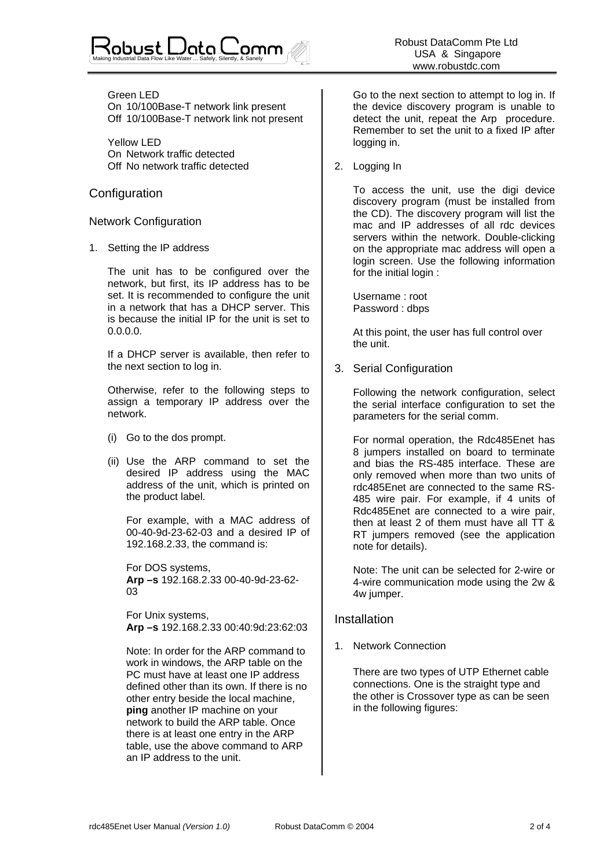#### Green LED

On 10/100Base-T network link present Off 10/100Base-T network link not present

 Yellow LED On Network traffic detected Off No network traffic detected

### **Configuration**

### Network Configuration

1. Setting the IP address

The unit has to be configured over the network, but first, its IP address has to be set. It is recommended to configure the unit in a network that has a DHCP server. This is because the initial IP for the unit is set to 0.0.0.0.

If a DHCP server is available, then refer to the next section to log in.

Otherwise, refer to the following steps to assign a temporary IP address over the network.

- (i) Go to the dos prompt.
- (ii) Use the ARP command to set the desired IP address using the MAC address of the unit, which is printed on the product label.

For example, with a MAC address of 00-40-9d-23-62-03 and a desired IP of 192.168.2.33, the command is:

For DOS systems, **Arp –s** 192.168.2.33 00-40-9d-23-62- 03

For Unix systems,  **Arp –s** 192.168.2.33 00:40:9d:23:62:03

Note: In order for the ARP command to work in windows, the ARP table on the PC must have at least one IP address defined other than its own. If there is no other entry beside the local machine, **ping** another IP machine on your network to build the ARP table. Once there is at least one entry in the ARP table, use the above command to ARP an IP address to the unit.

Go to the next section to attempt to log in. If the device discovery program is unable to detect the unit, repeat the Arp procedure. Remember to set the unit to a fixed IP after logging in.

2. Logging In

To access the unit, use the digi device discovery program (must be installed from the CD). The discovery program will list the mac and IP addresses of all rdc devices servers within the network. Double-clicking on the appropriate mac address will open a login screen. Use the following information for the initial login :

Username : root Password : dbps

At this point, the user has full control over the unit.

3. Serial Configuration

Following the network configuration, select the serial interface configuration to set the parameters for the serial comm.

For normal operation, the Rdc485Enet has 8 jumpers installed on board to terminate and bias the RS-485 interface. These are only removed when more than two units of rdc485Enet are connected to the same RS-485 wire pair. For example, if 4 units of Rdc485Enet are connected to a wire pair, then at least 2 of them must have all TT & RT jumpers removed (see the application note for details).

Note: The unit can be selected for 2-wire or 4-wire communication mode using the 2w & 4w jumper.

## Installation

1. Network Connection

There are two types of UTP Ethernet cable connections. One is the straight type and the other is Crossover type as can be seen in the following figures: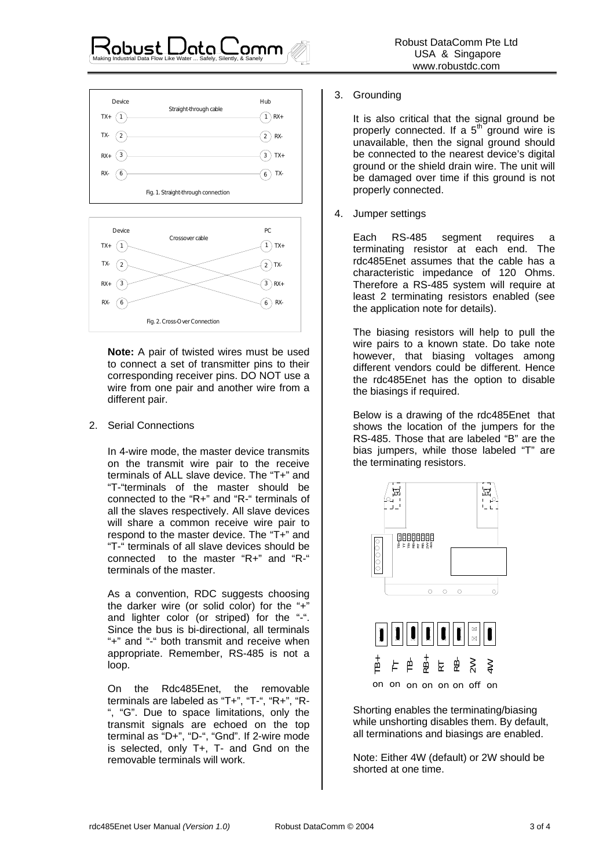#### 1 TX+ 2 3 6 1 RX+ 2 RX-3 TX+ 6 TX-TX- $RX_{+}$ RX-Device **Hub** Straight-through cable Fig. 1. Straight-through connection

Making Industrial Data Flow Like Water ... Safely, Silently, & Sanely



**Note:** A pair of twisted wires must be used to connect a set of transmitter pins to their corresponding receiver pins. DO NOT use a wire from one pair and another wire from a different pair.

2. Serial Connections

In 4-wire mode, the master device transmits on the transmit wire pair to the receive terminals of ALL slave device. The "T+" and "T-"terminals of the master should be connected to the "R+" and "R-" terminals of all the slaves respectively. All slave devices will share a common receive wire pair to respond to the master device. The "T+" and "T-" terminals of all slave devices should be connected to the master "R+" and "R-" terminals of the master.

As a convention, RDC suggests choosing the darker wire (or solid color) for the "+" and lighter color (or striped) for the "-". Since the bus is bi-directional, all terminals "+" and "-" both transmit and receive when appropriate. Remember, RS-485 is not a loop.

On the Rdc485Enet, the removable terminals are labeled as "T+", "T-", "R+", "R- ", "G". Due to space limitations, only the transmit signals are echoed on the top terminal as "D+", "D-", "Gnd". If 2-wire mode is selected, only T+, T- and Gnd on the removable terminals will work.

### 3. Grounding

It is also critical that the signal ground be properly connected. If a  $5<sup>th</sup>$  ground wire is unavailable, then the signal ground should be connected to the nearest device's digital ground or the shield drain wire. The unit will be damaged over time if this ground is not properly connected.

4. Jumper settings

Each RS-485 segment requires a terminating resistor at each end. The rdc485Enet assumes that the cable has a characteristic impedance of 120 Ohms. Therefore a RS-485 system will require at least 2 terminating resistors enabled (see the application note for details).

The biasing resistors will help to pull the wire pairs to a known state. Do take note however, that biasing voltages among different vendors could be different. Hence the rdc485Enet has the option to disable the biasings if required.

Below is a drawing of the rdc485Enet that shows the location of the jumpers for the RS-485. Those that are labeled "B" are the bias jumpers, while those labeled "T" are the terminating resistors.



Shorting enables the terminating/biasing while unshorting disables them. By default, all terminations and biasings are enabled.

Note: Either 4W (default) or 2W should be shorted at one time.